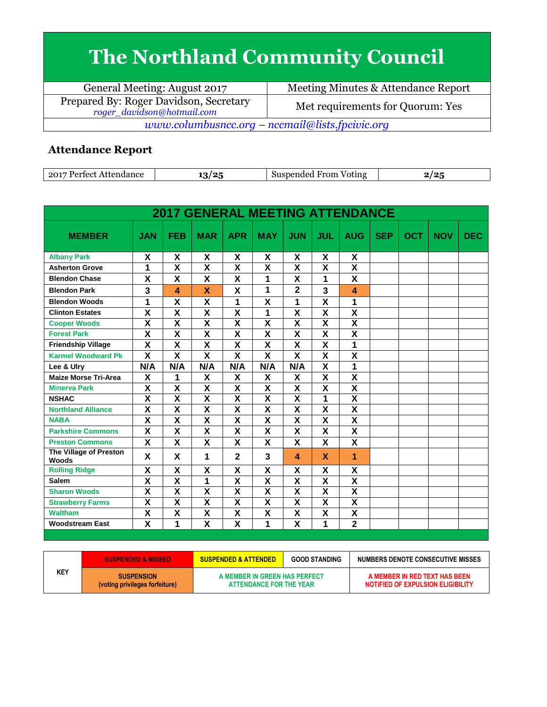## **The Northland Community Council**

| General Meeting: August 2017                                         | Meeting Minutes & Attendance Report |  |  |  |  |
|----------------------------------------------------------------------|-------------------------------------|--|--|--|--|
| Prepared By: Roger Davidson, Secretary<br>roger_davidson@hotmail.com | Met requirements for Quorum: Yes    |  |  |  |  |
| www.columbusncc.org – nccmail@lists.fpcivic.org                      |                                     |  |  |  |  |

## **Attendance Report**

| 2017<br>$D_{\alpha}$ $\mu$ $\alpha$<br>Attendance<br>. $\alpha$ <sup>+</sup><br>. . | $\sqrt{2}$<br>Ψ.<br>. . | From<br>spended<br>Voting<br>5115 | .101<br>. .<br> |
|-------------------------------------------------------------------------------------|-------------------------|-----------------------------------|-----------------|

| <b>2017 GENERAL MEETING ATTENDANCE</b> |                         |                         |                         |                         |                           |                           |                         |                         |            |            |            |            |
|----------------------------------------|-------------------------|-------------------------|-------------------------|-------------------------|---------------------------|---------------------------|-------------------------|-------------------------|------------|------------|------------|------------|
| <b>MEMBER</b>                          | <b>JAN</b>              | <b>FEB</b>              | <b>MAR</b>              | <b>APR</b>              | <b>MAY</b>                | <b>JUN</b>                | <b>JUL</b>              | <b>AUG</b>              | <b>SEP</b> | <b>OCT</b> | <b>NOV</b> | <b>DEC</b> |
| <b>Albany Park</b>                     | X                       | X                       | X                       | X                       | X                         | X                         | X                       | X                       |            |            |            |            |
| <b>Asherton Grove</b>                  | 1                       | $\overline{\mathsf{x}}$ | $\overline{\mathbf{x}}$ | $\overline{\mathbf{x}}$ | $\overline{\mathbf{x}}$   | $\overline{\mathbf{x}}$   | $\overline{\mathbf{x}}$ | $\overline{\mathbf{x}}$ |            |            |            |            |
| <b>Blendon Chase</b>                   | X                       | X                       | X                       | X                       | 1                         | X                         | 1                       | X                       |            |            |            |            |
| <b>Blendon Park</b>                    | 3                       | 4                       | $\mathbf x$             | X                       | 1                         | $\overline{2}$            | $\overline{\mathbf{3}}$ | 4                       |            |            |            |            |
| <b>Blendon Woods</b>                   | 1                       | $\overline{\mathsf{x}}$ | $\overline{\mathsf{x}}$ | 1                       | $\overline{\mathbf{x}}$   | 1                         | $\overline{\mathsf{x}}$ | 1                       |            |            |            |            |
| <b>Clinton Estates</b>                 | $\overline{\textsf{x}}$ | $\overline{\textsf{x}}$ | $\overline{\mathbf{x}}$ | $\overline{\mathsf{x}}$ | 1                         | $\overline{\mathsf{x}}$   | $\overline{\mathbf{x}}$ | $\overline{\textbf{x}}$ |            |            |            |            |
| <b>Cooper Woods</b>                    | X                       | $\overline{\mathsf{x}}$ | X                       | $\overline{\mathsf{x}}$ | $\overline{\mathbf{x}}$   | $\overline{\mathbf{x}}$   | $\overline{\mathsf{x}}$ | $\overline{\mathsf{x}}$ |            |            |            |            |
| <b>Forest Park</b>                     | $\overline{\mathsf{x}}$ | $\overline{\mathbf{x}}$ | $\overline{\mathsf{x}}$ | $\overline{\mathsf{x}}$ | $\overline{\mathbf{x}}$   | $\overline{\mathbf{x}}$   | $\overline{\mathbf{x}}$ | $\overline{\mathbf{x}}$ |            |            |            |            |
| <b>Friendship Village</b>              | X                       | X                       | X                       | X                       | X                         | X                         | X                       | 1                       |            |            |            |            |
| <b>Karmel Woodward Pk</b>              | $\overline{\mathbf{x}}$ | $\overline{\mathsf{x}}$ | $\overline{\mathbf{X}}$ | $\overline{\mathbf{x}}$ | $\overline{\mathbf{x}}$   | $\overline{\mathsf{x}}$   | $\overline{\mathbf{x}}$ | $\overline{\mathsf{x}}$ |            |            |            |            |
| Lee & Ulry                             | N/A                     | N/A                     | N/A                     | N/A                     | N/A                       | N/A                       | $\overline{\mathsf{x}}$ | 1                       |            |            |            |            |
| <b>Maize Morse Tri-Area</b>            | X                       | 1                       | X                       | X                       | X                         | X                         | X                       | X                       |            |            |            |            |
| <b>Minerva Park</b>                    | $\overline{\mathsf{x}}$ | $\overline{\mathsf{x}}$ | $\overline{\mathsf{x}}$ | $\overline{\mathsf{x}}$ | $\overline{\mathbf{x}}$   | $\overline{\mathsf{x}}$   | $\overline{\mathsf{x}}$ | $\overline{\mathsf{x}}$ |            |            |            |            |
| <b>NSHAC</b>                           | $\overline{\mathsf{x}}$ | $\overline{\mathsf{x}}$ | $\overline{\mathsf{x}}$ | $\overline{\mathbf{X}}$ | $\overline{\mathbf{x}}$   | $\overline{\mathbf{X}}$   | 1                       | $\overline{\mathsf{x}}$ |            |            |            |            |
| <b>Northland Alliance</b>              | X                       | $\overline{\mathsf{x}}$ | $\overline{\mathsf{x}}$ | $\overline{\mathsf{x}}$ | $\overline{\mathbf{x}}$   | $\overline{\mathbf{x}}$   | X                       | $\overline{\mathbf{x}}$ |            |            |            |            |
| <b>NABA</b>                            | $\overline{\mathsf{x}}$ | $\overline{\textbf{x}}$ | $\overline{\textsf{x}}$ | $\overline{\mathbf{x}}$ | $\overline{\mathbf{x}}$   | $\overline{\mathbf{x}}$   | $\overline{\mathsf{x}}$ | $\overline{\mathsf{x}}$ |            |            |            |            |
| <b>Parkshire Commons</b>               | X                       | X                       | X                       | X                       | X                         | $\boldsymbol{\mathsf{X}}$ | X                       | X                       |            |            |            |            |
| <b>Preston Commons</b>                 | X                       | X                       | X                       | X                       | X                         | X                         | X                       | X                       |            |            |            |            |
| The Village of Preston<br><b>Woods</b> | X                       | X                       | 1                       | $\overline{2}$          | 3                         | $\blacktriangle$          | X                       | 1                       |            |            |            |            |
| <b>Rolling Ridge</b>                   | X                       | X                       | X                       | X                       | X                         | X                         | X                       | χ                       |            |            |            |            |
| <b>Salem</b>                           | X                       | $\overline{\mathsf{x}}$ | 1                       | $\overline{\mathsf{x}}$ | $\overline{\mathbf{x}}$   | $\overline{\mathbf{x}}$   | X                       | $\overline{\mathsf{x}}$ |            |            |            |            |
| <b>Sharon Woods</b>                    | $\overline{\mathsf{x}}$ | $\overline{\mathsf{x}}$ | $\overline{\mathsf{x}}$ | $\overline{\mathsf{x}}$ | $\overline{\mathbf{x}}$   | $\overline{\mathbf{x}}$   | $\overline{\mathsf{x}}$ | $\overline{\mathsf{x}}$ |            |            |            |            |
| <b>Strawberry Farms</b>                | X                       | $\overline{\mathsf{x}}$ | X                       | $\overline{\mathbf{X}}$ | X                         | $\overline{\mathbf{X}}$   | X                       | $\overline{\mathsf{x}}$ |            |            |            |            |
| <b>Waltham</b>                         | X                       | X                       | $\overline{\mathbf{x}}$ | X                       | $\boldsymbol{\mathsf{X}}$ | $\boldsymbol{\mathsf{X}}$ | X                       | X                       |            |            |            |            |
| <b>Woodstream East</b>                 | $\overline{\mathsf{x}}$ | 1                       | $\overline{\mathsf{x}}$ | $\overline{\mathsf{x}}$ | 1                         | $\overline{\mathbf{x}}$   | 1                       | $\overline{2}$          |            |            |            |            |

|     | <b>SUSPENDED &amp; MISSED</b>  | <b>SUSPENDED &amp; ATTENDED</b> | <b>GOOD STANDING</b> | NUMBERS DENOTE CONSECUTIVE MISSES |
|-----|--------------------------------|---------------------------------|----------------------|-----------------------------------|
| KEY | <b>SUSPENSION</b>              | A MEMBER IN GREEN HAS PERFECT   |                      | A MEMBER IN RED TEXT HAS BEEN     |
|     | (voting privileges forfeiture) | ATTENDANCE FOR THE YEAR         |                      | NOTIFIED OF EXPULSION ELIGIBILITY |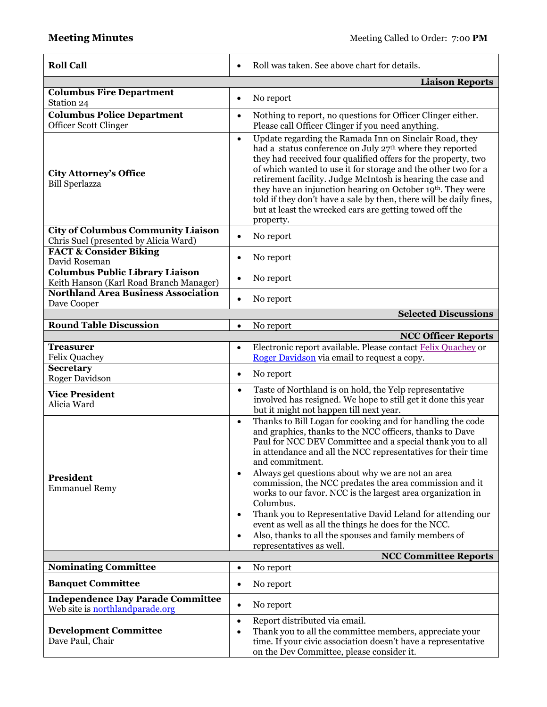| <b>Roll Call</b>                                                                  | Roll was taken. See above chart for details.<br>$\bullet$                                                                                                                                                                                                                                                                                                                                                                                                                                                                                                                                                                                                                                                                         |  |  |  |
|-----------------------------------------------------------------------------------|-----------------------------------------------------------------------------------------------------------------------------------------------------------------------------------------------------------------------------------------------------------------------------------------------------------------------------------------------------------------------------------------------------------------------------------------------------------------------------------------------------------------------------------------------------------------------------------------------------------------------------------------------------------------------------------------------------------------------------------|--|--|--|
|                                                                                   | <b>Liaison Reports</b>                                                                                                                                                                                                                                                                                                                                                                                                                                                                                                                                                                                                                                                                                                            |  |  |  |
| <b>Columbus Fire Department</b><br>Station 24                                     | No report<br>$\bullet$                                                                                                                                                                                                                                                                                                                                                                                                                                                                                                                                                                                                                                                                                                            |  |  |  |
| <b>Columbus Police Department</b><br><b>Officer Scott Clinger</b>                 | Nothing to report, no questions for Officer Clinger either.<br>$\bullet$<br>Please call Officer Clinger if you need anything.                                                                                                                                                                                                                                                                                                                                                                                                                                                                                                                                                                                                     |  |  |  |
| <b>City Attorney's Office</b><br><b>Bill Sperlazza</b>                            | Update regarding the Ramada Inn on Sinclair Road, they<br>$\bullet$<br>had a status conference on July 27th where they reported<br>they had received four qualified offers for the property, two<br>of which wanted to use it for storage and the other two for a<br>retirement facility. Judge McIntosh is hearing the case and<br>they have an injunction hearing on October 19th. They were<br>told if they don't have a sale by then, there will be daily fines,<br>but at least the wrecked cars are getting towed off the<br>property.                                                                                                                                                                                      |  |  |  |
| <b>City of Columbus Community Liaison</b>                                         | No report<br>$\bullet$                                                                                                                                                                                                                                                                                                                                                                                                                                                                                                                                                                                                                                                                                                            |  |  |  |
| Chris Suel (presented by Alicia Ward)<br><b>FACT &amp; Consider Biking</b>        |                                                                                                                                                                                                                                                                                                                                                                                                                                                                                                                                                                                                                                                                                                                                   |  |  |  |
| David Roseman                                                                     | No report<br>$\bullet$                                                                                                                                                                                                                                                                                                                                                                                                                                                                                                                                                                                                                                                                                                            |  |  |  |
| <b>Columbus Public Library Liaison</b><br>Keith Hanson (Karl Road Branch Manager) | No report<br>٠                                                                                                                                                                                                                                                                                                                                                                                                                                                                                                                                                                                                                                                                                                                    |  |  |  |
| <b>Northland Area Business Association</b><br>Dave Cooper                         | No report<br>$\bullet$                                                                                                                                                                                                                                                                                                                                                                                                                                                                                                                                                                                                                                                                                                            |  |  |  |
|                                                                                   | <b>Selected Discussions</b>                                                                                                                                                                                                                                                                                                                                                                                                                                                                                                                                                                                                                                                                                                       |  |  |  |
| <b>Round Table Discussion</b>                                                     | No report<br>$\bullet$                                                                                                                                                                                                                                                                                                                                                                                                                                                                                                                                                                                                                                                                                                            |  |  |  |
| <b>Treasurer</b>                                                                  | <b>NCC Officer Reports</b><br>Electronic report available. Please contact Felix Quachey or<br>$\bullet$                                                                                                                                                                                                                                                                                                                                                                                                                                                                                                                                                                                                                           |  |  |  |
| <b>Felix Quachey</b>                                                              | Roger Davidson via email to request a copy.                                                                                                                                                                                                                                                                                                                                                                                                                                                                                                                                                                                                                                                                                       |  |  |  |
| Secretary<br><b>Roger Davidson</b>                                                | No report<br>$\bullet$                                                                                                                                                                                                                                                                                                                                                                                                                                                                                                                                                                                                                                                                                                            |  |  |  |
| <b>Vice President</b><br>Alicia Ward                                              | Taste of Northland is on hold, the Yelp representative<br>$\bullet$<br>involved has resigned. We hope to still get it done this year<br>but it might not happen till next year.                                                                                                                                                                                                                                                                                                                                                                                                                                                                                                                                                   |  |  |  |
| <b>President</b><br><b>Emmanuel Remy</b>                                          | Thanks to Bill Logan for cooking and for handling the code<br>$\bullet$<br>and graphics, thanks to the NCC officers, thanks to Dave<br>Paul for NCC DEV Committee and a special thank you to all<br>in attendance and all the NCC representatives for their time<br>and commitment.<br>Always get questions about why we are not an area<br>$\bullet$<br>commission, the NCC predates the area commission and it<br>works to our favor. NCC is the largest area organization in<br>Columbus.<br>Thank you to Representative David Leland for attending our<br>$\bullet$<br>event as well as all the things he does for the NCC.<br>Also, thanks to all the spouses and family members of<br>$\bullet$<br>representatives as well. |  |  |  |
| <b>Nominating Committee</b>                                                       | <b>NCC Committee Reports</b><br>No report<br>$\bullet$                                                                                                                                                                                                                                                                                                                                                                                                                                                                                                                                                                                                                                                                            |  |  |  |
| <b>Banquet Committee</b>                                                          | No report<br>$\bullet$                                                                                                                                                                                                                                                                                                                                                                                                                                                                                                                                                                                                                                                                                                            |  |  |  |
| <b>Independence Day Parade Committee</b><br>Web site is northlandparade.org       | No report<br>$\bullet$                                                                                                                                                                                                                                                                                                                                                                                                                                                                                                                                                                                                                                                                                                            |  |  |  |
| <b>Development Committee</b><br>Dave Paul, Chair                                  | Report distributed via email.<br>$\bullet$<br>Thank you to all the committee members, appreciate your<br>$\bullet$<br>time. If your civic association doesn't have a representative<br>on the Dev Committee, please consider it.                                                                                                                                                                                                                                                                                                                                                                                                                                                                                                  |  |  |  |